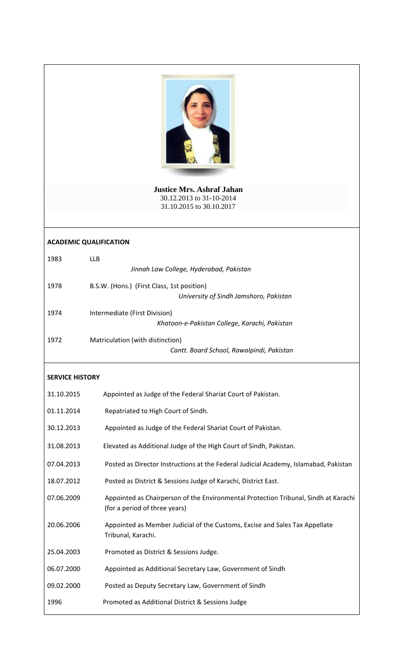

**Justice Mrs. Ashraf Jahan** 30.12.2013 to 31-10-2014 31.10.2015 to 30.10.2017

## **ACADEMIC QUALIFICATION**

| 1983 | LLB.                                          |
|------|-----------------------------------------------|
|      | Jinnah Law College, Hyderabad, Pakistan       |
| 1978 | B.S.W. (Hons.) (First Class, 1st position)    |
|      | University of Sindh Jamshoro, Pakistan        |
| 1974 | Intermediate (First Division)                 |
|      | Khatoon-e-Pakistan College, Karachi, Pakistan |
| 1972 | Matriculation (with distinction)              |

## *Cantt. Board School, Rawalpindi, Pakistan*

## **SERVICE HISTORY**

| 31.10.2015 | Appointed as Judge of the Federal Shariat Court of Pakistan.                                                         |
|------------|----------------------------------------------------------------------------------------------------------------------|
| 01.11.2014 | Repatriated to High Court of Sindh.                                                                                  |
| 30.12.2013 | Appointed as Judge of the Federal Shariat Court of Pakistan.                                                         |
| 31.08.2013 | Elevated as Additional Judge of the High Court of Sindh, Pakistan.                                                   |
| 07.04.2013 | Posted as Director Instructions at the Federal Judicial Academy, Islamabad, Pakistan                                 |
| 18.07.2012 | Posted as District & Sessions Judge of Karachi, District East.                                                       |
| 07.06.2009 | Appointed as Chairperson of the Environmental Protection Tribunal, Sindh at Karachi<br>(for a period of three years) |
| 20.06.2006 | Appointed as Member Judicial of the Customs, Excise and Sales Tax Appellate<br>Tribunal, Karachi.                    |
| 25.04.2003 | Promoted as District & Sessions Judge.                                                                               |
| 06.07.2000 | Appointed as Additional Secretary Law, Government of Sindh                                                           |
| 09.02.2000 | Posted as Deputy Secretary Law, Government of Sindh                                                                  |
| 1996       | Promoted as Additional District & Sessions Judge                                                                     |